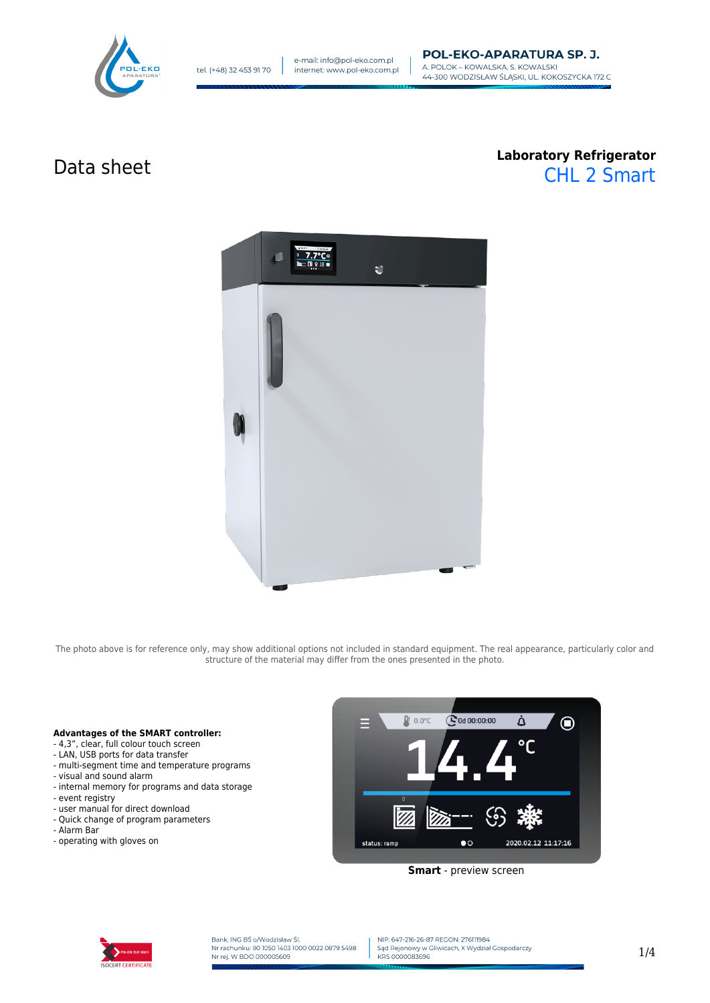

# Data sheet **Laboratory Refrigerator** CHL 2 Smart



The photo above is for reference only, may show additional options not included in standard equipment. The real appearance, particularly color and structure of the material may differ from the ones presented in the photo.

### **Advantages of the SMART controller:**

- 4,3", clear, full colour touch screen
- LAN, USB ports for data transfer
- multi-segment time and temperature programs
- visual and sound alarm
- internal memory for programs and data storage
- event registry
- user manual for direct download
- Quick change of program parameters
- Alarm Bar
- operating with gloves on



**Smart** - preview screen



Bank: ING BŚ o/Wodzisław Śl.<br>Nr rachunku: 90 1050 1403 1000 0022 0879 5498 Nr rej. W BDO 000005609

NIP: 647-216-26-87 REGON: 276111984 Sąd Rejonowy w Gliwicach, X Wydział Gospodarczy KRS 0000083696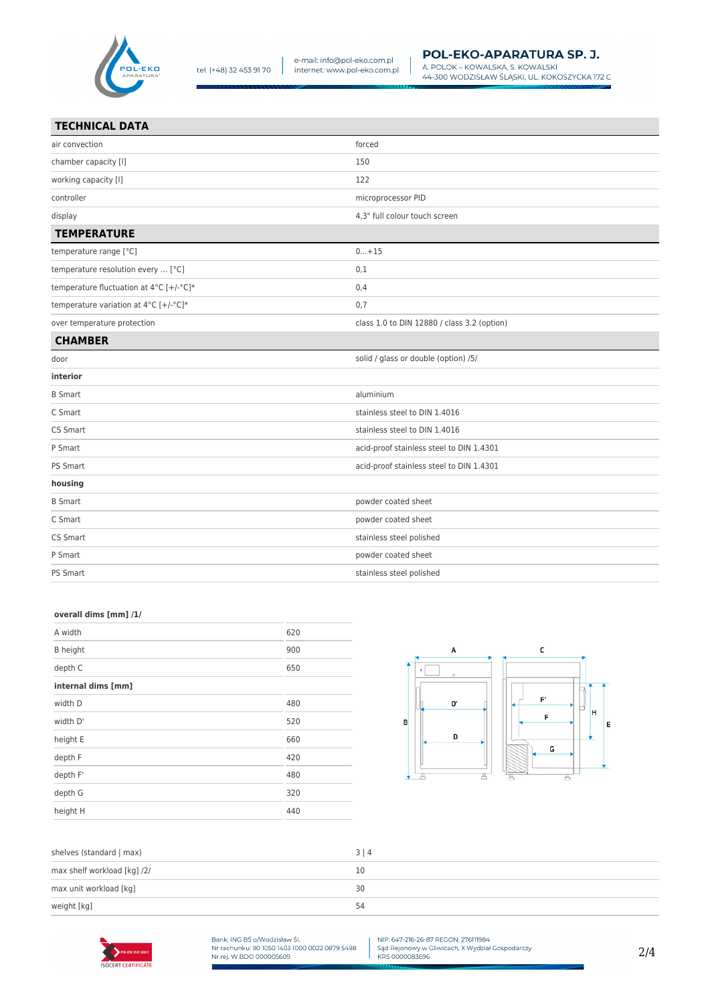

A. POLOK – KOWALSKA, S. KOWALSKI<br>44-300 WODZISŁAW ŚLĄSKI, UL. KOKOSZYCKA 172 C

| air convection                          | forced                                      |
|-----------------------------------------|---------------------------------------------|
| chamber capacity [I]                    | 150                                         |
| working capacity [I]                    | 122                                         |
| controller                              | microprocessor PID                          |
| display                                 | 4,3" full colour touch screen               |
| <b>TEMPERATURE</b>                      |                                             |
| temperature range [°C]                  | $0+15$                                      |
| temperature resolution every  [°C]      | 0,1                                         |
| temperature fluctuation at 4°C [+/-°C]* | 0,4                                         |
| temperature variation at 4°C [+/-°C]*   | 0,7                                         |
| over temperature protection             | class 1.0 to DIN 12880 / class 3.2 (option) |
| <b>CHAMBER</b>                          |                                             |
| door                                    | solid / glass or double (option) /5/        |
| interior                                |                                             |
| <b>B</b> Smart                          | aluminium                                   |
| C Smart                                 | stainless steel to DIN 1.4016               |
| CS Smart                                | stainless steel to DIN 1.4016               |
| P Smart                                 | acid-proof stainless steel to DIN 1.4301    |
| PS Smart                                | acid-proof stainless steel to DIN 1.4301    |
| housing                                 |                                             |
| <b>B</b> Smart                          | powder coated sheet                         |
| C Smart                                 | powder coated sheet                         |
| CS Smart                                | stainless steel polished                    |
| P Smart                                 | powder coated sheet                         |
| PS Smart                                | stainless steel polished                    |

### **overall dims [mm] /1/**

| A width            | 620 |
|--------------------|-----|
| <b>B</b> height    | 900 |
| depth C            | 650 |
| internal dims [mm] |     |
| width D            | 480 |
| width D'           | 520 |
| height E           | 660 |
| depth F            | 420 |
| depth F'           | 480 |
| depth G            | 320 |
| height H           | 440 |
|                    |     |



| shelves (standard   max)    | 3 4 |
|-----------------------------|-----|
| max shelf workload [kg] /2/ | 10  |
| max unit workload [kg]      | 30  |
| weight [kg]                 | 54  |



Bank: ING BŚ o/Wodzisław Śl.<br>Nr rachunku: 90 1050 1403 1000 0022 0879 5498<br>Nr rej. W BDO 000005609

NIP: 647-216-26-87 REGON: 276111984<br>Sąd Rejonowy w Gliwicach, X Wydział Gospodarczy<br>KRS 0000083696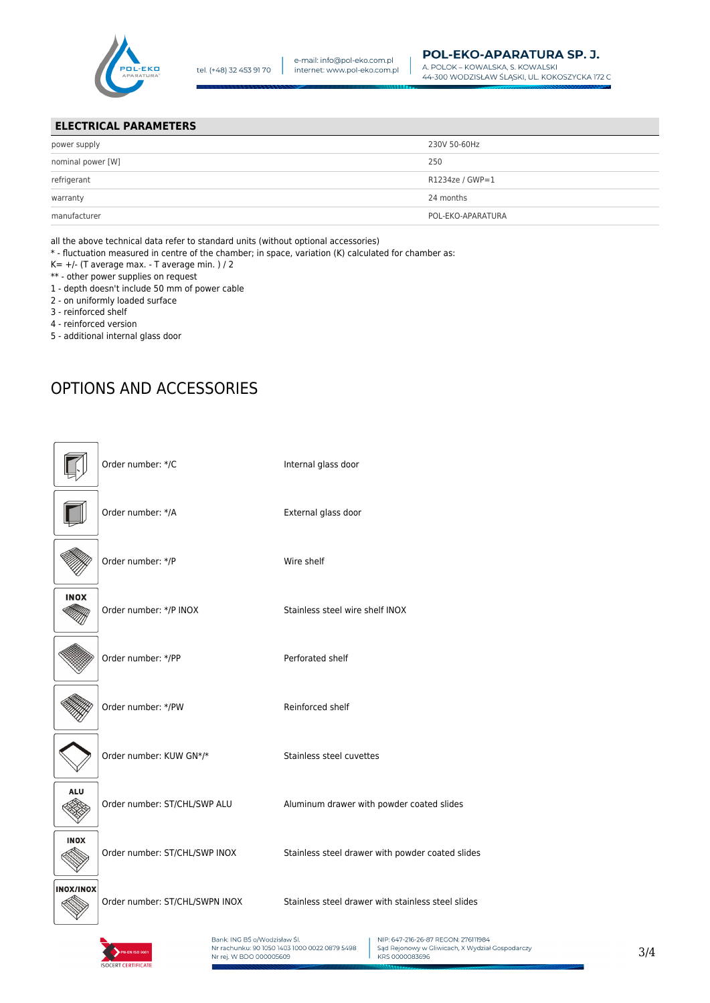

## **ELECTRICAL PARAMETERS**

| power supply      | 230V 50-60Hz      |
|-------------------|-------------------|
| nominal power [W] | 250               |
| refrigerant       | R1234ze / GWP=1   |
| warranty          | 24 months         |
| manufacturer      | POL-EKO-APARATURA |
|                   |                   |

all the above technical data refer to standard units (without optional accessories)

\* - fluctuation measured in centre of the chamber; in space, variation (K) calculated for chamber as:

- $K= +/-$  (T average max. T average min. ) / 2
- \*\* other power supplies on request
- 1 depth doesn't include 50 mm of power cable
- 2 on uniformly loaded surface
- 3 reinforced shelf
- 4 reinforced version
- 5 additional internal glass door

# OPTIONS AND ACCESSORIES

|                  | Order number: */C              | Internal glass door                                |
|------------------|--------------------------------|----------------------------------------------------|
|                  | Order number: */A              | External glass door                                |
|                  | Order number: */P              | Wire shelf                                         |
| <b>INOX</b>      | Order number: */P INOX         | Stainless steel wire shelf INOX                    |
|                  | Order number: */PP             | Perforated shelf                                   |
|                  | Order number: */PW             | Reinforced shelf                                   |
|                  | Order number: KUW GN*/*        | Stainless steel cuvettes                           |
| <b>ALU</b>       | Order number: ST/CHL/SWP ALU   | Aluminum drawer with powder coated slides          |
| <b>INOX</b>      | Order number: ST/CHL/SWP INOX  | Stainless steel drawer with powder coated slides   |
| <b>INOX/INOX</b> | Order number: ST/CHL/SWPN INOX | Stainless steel drawer with stainless steel slides |



Bank: ING BŚ o/Wodzisław Śl.<br>Nr rachunku: 90 1050 1403 1000 0022 0879 5498 Nr rej. W BDO 000005609

NIP: 647-216-26-87 REGON: 276111984 Sąd Rejonowy w Gliwicach, X Wydział Gospodarczy<br>KRS 0000083696